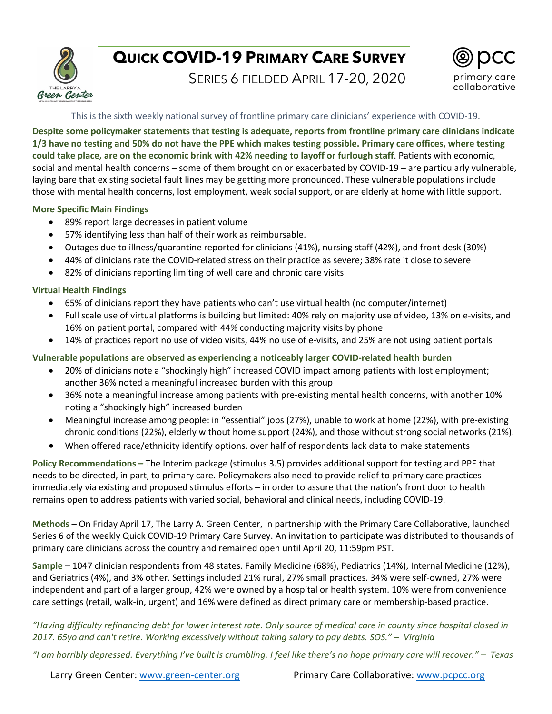

# **QUICK COVID-19 PRIMARY CARE SURVEY**

SERIES 6 FIELDED APRIL 17-20, 2020



# This is the sixth weekly national survey of frontline primary care clinicians' experience with COVID-19.

**Despite some policymaker statements that testing is adequate, reports from frontline primary care clinicians indicate 1/3 have no testing and 50% do not have the PPE which makes testing possible. Primary care offices, where testing could take place, are on the economic brink with 42% needing to layoff or furlough staff**. Patients with economic, social and mental health concerns – some of them brought on or exacerbated by COVID-19 – are particularly vulnerable, laying bare that existing societal fault lines may be getting more pronounced. These vulnerable populations include those with mental health concerns, lost employment, weak social support, or are elderly at home with little support.

# **More Specific Main Findings**

- 89% report large decreases in patient volume
- 57% identifying less than half of their work as reimbursable.
- Outages due to illness/quarantine reported for clinicians (41%), nursing staff (42%), and front desk (30%)
- 44% of clinicians rate the COVID-related stress on their practice as severe; 38% rate it close to severe
- 82% of clinicians reporting limiting of well care and chronic care visits

# **Virtual Health Findings**

- 65% of clinicians report they have patients who can't use virtual health (no computer/internet)
- Full scale use of virtual platforms is building but limited: 40% rely on majority use of video, 13% on e-visits, and 16% on patient portal, compared with 44% conducting majority visits by phone
- 14% of practices report no use of video visits, 44% no use of e-visits, and 25% are not using patient portals

**Vulnerable populations are observed as experiencing a noticeably larger COVID-related health burden**

- 20% of clinicians note a "shockingly high" increased COVID impact among patients with lost employment; another 36% noted a meaningful increased burden with this group
- 36% note a meaningful increase among patients with pre-existing mental health concerns, with another 10% noting a "shockingly high" increased burden
- Meaningful increase among people: in "essential" jobs (27%), unable to work at home (22%), with pre-existing chronic conditions (22%), elderly without home support (24%), and those without strong social networks (21%).
- When offered race/ethnicity identify options, over half of respondents lack data to make statements

**Policy Recommendations –** The Interim package (stimulus 3.5) provides additional support for testing and PPE that needs to be directed, in part, to primary care. Policymakers also need to provide relief to primary care practices immediately via existing and proposed stimulus efforts – in order to assure that the nation's front door to health remains open to address patients with varied social, behavioral and clinical needs, including COVID-19.

**Methods** – On Friday April 17, The Larry A. Green Center, in partnership with the Primary Care Collaborative, launched Series 6 of the weekly Quick COVID-19 Primary Care Survey. An invitation to participate was distributed to thousands of primary care clinicians across the country and remained open until April 20, 11:59pm PST.

**Sample** – 1047 clinician respondents from 48 states. Family Medicine (68%), Pediatrics (14%), Internal Medicine (12%), and Geriatrics (4%), and 3% other. Settings included 21% rural, 27% small practices. 34% were self-owned, 27% were independent and part of a larger group, 42% were owned by a hospital or health system. 10% were from convenience care settings (retail, walk-in, urgent) and 16% were defined as direct primary care or membership-based practice.

*"Having difficulty refinancing debt for lower interest rate. Only source of medical care in county since hospital closed in 2017. 65yo and can't retire. Working excessively without taking salary to pay debts. SOS." – Virginia*

*"I am horribly depressed. Everything I've built is crumbling. I feel like there's no hope primary care will recover." – Texas*

Larry Green Center: www.green-center.org Primary Care Collaborative: www.pcpcc.org